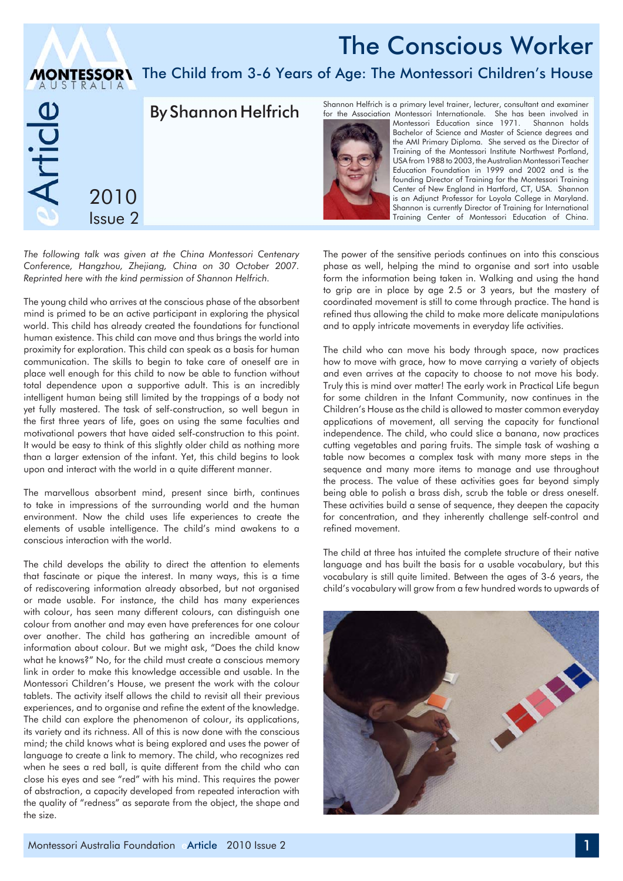## The Conscious Worker

## **MONTESSOR\** The Child from 3-6 Years of Age: The Montessori Children's House



*The following talk was given at the China Montessori Centenary Conference, Hangzhou, Zhejiang, China on 30 October 2007. Reprinted here with the kind permission of Shannon Helfrich.*

The young child who arrives at the conscious phase of the absorbent mind is primed to be an active participant in exploring the physical world. This child has already created the foundations for functional human existence. This child can move and thus brings the world into proximity for exploration. This child can speak as a basis for human communication. The skills to begin to take care of oneself are in place well enough for this child to now be able to function without total dependence upon a supportive adult. This is an incredibly intelligent human being still limited by the trappings of a body not yet fully mastered. The task of self-construction, so well begun in the first three years of life, goes on using the same faculties and motivational powers that have aided self-construction to this point. It would be easy to think of this slightly older child as nothing more than a larger extension of the infant. Yet, this child begins to look upon and interact with the world in a quite different manner.

The marvellous absorbent mind, present since birth, continues to take in impressions of the surrounding world and the human environment. Now the child uses life experiences to create the elements of usable intelligence. The child's mind awakens to a conscious interaction with the world.

The child develops the ability to direct the attention to elements that fascinate or pique the interest. In many ways, this is a time of rediscovering information already absorbed, but not organised or made usable. For instance, the child has many experiences with colour, has seen many different colours, can distinguish one colour from another and may even have preferences for one colour over another. The child has gathering an incredible amount of information about colour. But we might ask, "Does the child know what he knows?" No, for the child must create a conscious memory link in order to make this knowledge accessible and usable. In the Montessori Children's House, we present the work with the colour tablets. The activity itself allows the child to revisit all their previous experiences, and to organise and refine the extent of the knowledge. The child can explore the phenomenon of colour, its applications, its variety and its richness. All of this is now done with the conscious mind; the child knows what is being explored and uses the power of language to create a link to memory. The child, who recognizes red when he sees a red ball, is quite different from the child who can close his eyes and see "red" with his mind. This requires the power of abstraction, a capacity developed from repeated interaction with the quality of "redness" as separate from the object, the shape and the size.

Shannon Helfrich is a primary level trainer, lecturer, consultant and examiner



for the Association Montessori Internationale. She has been involved in Montessori Education since 1971. Bachelor of Science and Master of Science degrees and the AMI Primary Diploma. She served as the Director of Training of the Montessori Institute Northwest Portland, USA from 1988 to 2003, the Australian Montessori Teacher Education Foundation in 1999 and 2002 and is the founding Director of Training for the Montessori Training Center of New England in Hartford, CT, USA. Shannon is an Adjunct Professor for Loyola College in Maryland. Shannon is currently Director of Training for International Training Center of Montessori Education of China.

The power of the sensitive periods continues on into this conscious phase as well, helping the mind to organise and sort into usable form the information being taken in. Walking and using the hand to grip are in place by age 2.5 or 3 years, but the mastery of coordinated movement is still to come through practice. The hand is refined thus allowing the child to make more delicate manipulations and to apply intricate movements in everyday life activities.

The child who can move his body through space, now practices how to move with grace, how to move carrying a variety of objects and even arrives at the capacity to choose to not move his body. Truly this is mind over matter! The early work in Practical Life begun for some children in the Infant Community, now continues in the Children's House as the child is allowed to master common everyday applications of movement, all serving the capacity for functional independence. The child, who could slice a banana, now practices cutting vegetables and paring fruits. The simple task of washing a table now becomes a complex task with many more steps in the sequence and many more items to manage and use throughout the process. The value of these activities goes far beyond simply being able to polish a brass dish, scrub the table or dress oneself. These activities build a sense of sequence, they deepen the capacity for concentration, and they inherently challenge self-control and refined movement.

The child at three has intuited the complete structure of their native language and has built the basis for a usable vocabulary, but this vocabulary is still quite limited. Between the ages of 3-6 years, the child's vocabulary will grow from a few hundred words to upwards of